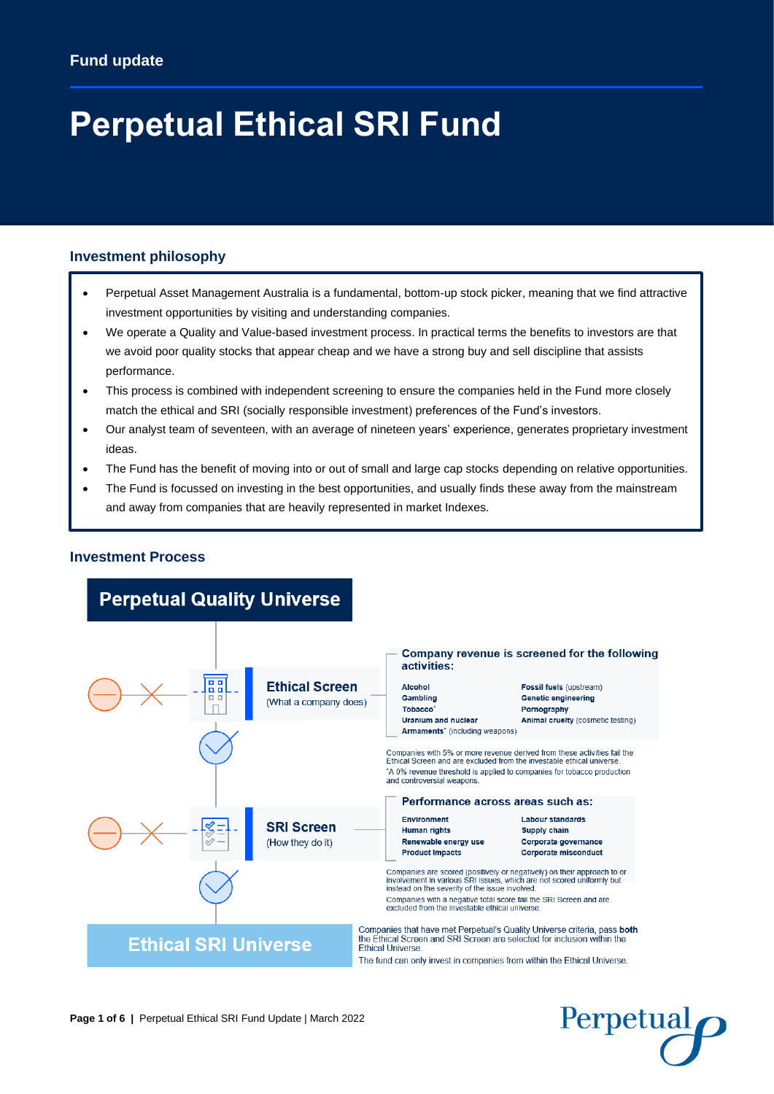# **Perpetual Ethical SRI Fund**

## **Investment philosophy**

- Perpetual Asset Management Australia is a fundamental, bottom-up stock picker, meaning that we find attractive investment opportunities by visiting and understanding companies.
- We operate a Quality and Value-based investment process. In practical terms the benefits to investors are that we avoid poor quality stocks that appear cheap and we have a strong buy and sell discipline that assists performance.
- This process is combined with independent screening to ensure the companies held in the Fund more closely match the ethical and SRI (socially responsible investment) preferences of the Fund's investors.
- Our analyst team of seventeen, with an average of nineteen years' experience, generates proprietary investment ideas.
- The Fund has the benefit of moving into or out of small and large cap stocks depending on relative opportunities.
- The Fund is focussed on investing in the best opportunities, and usually finds these away from the mainstream and away from companies that are heavily represented in market Indexes.



Perpetual

#### **Investment Process**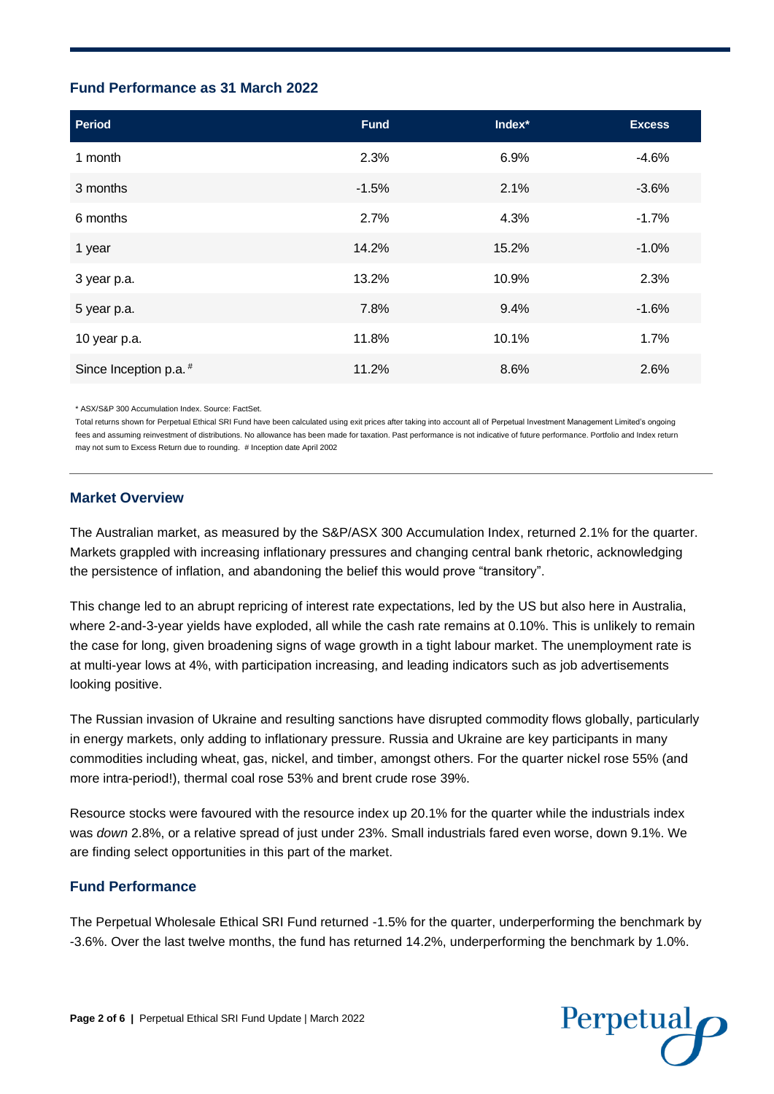#### **Fund Performance as 31 March 2022**

| <b>Period</b>          | <b>Fund</b> | Index* | <b>Excess</b> |
|------------------------|-------------|--------|---------------|
| 1 month                | 2.3%        | 6.9%   | $-4.6%$       |
| 3 months               | $-1.5%$     | 2.1%   | $-3.6%$       |
| 6 months               | 2.7%        | 4.3%   | $-1.7%$       |
| 1 year                 | 14.2%       | 15.2%  | $-1.0%$       |
| 3 year p.a.            | 13.2%       | 10.9%  | 2.3%          |
| 5 year p.a.            | 7.8%        | 9.4%   | $-1.6%$       |
| 10 year p.a.           | 11.8%       | 10.1%  | 1.7%          |
| Since Inception p.a. # | 11.2%       | 8.6%   | 2.6%          |

\* ASX/S&P 300 Accumulation Index. Source: FactSet.

Total returns shown for Perpetual Ethical SRI Fund have been calculated using exit prices after taking into account all of Perpetual Investment Management Limited's ongoing fees and assuming reinvestment of distributions. No allowance has been made for taxation. Past performance is not indicative of future performance. Portfolio and Index return may not sum to Excess Return due to rounding. # Inception date April 2002

#### **Market Overview**

The Australian market, as measured by the S&P/ASX 300 Accumulation Index, returned 2.1% for the quarter. Markets grappled with increasing inflationary pressures and changing central bank rhetoric, acknowledging the persistence of inflation, and abandoning the belief this would prove "transitory".

This change led to an abrupt repricing of interest rate expectations, led by the US but also here in Australia, where 2-and-3-year yields have exploded, all while the cash rate remains at 0.10%. This is unlikely to remain the case for long, given broadening signs of wage growth in a tight labour market. The unemployment rate is at multi-year lows at 4%, with participation increasing, and leading indicators such as job advertisements looking positive.

The Russian invasion of Ukraine and resulting sanctions have disrupted commodity flows globally, particularly in energy markets, only adding to inflationary pressure. Russia and Ukraine are key participants in many commodities including wheat, gas, nickel, and timber, amongst others. For the quarter nickel rose 55% (and more intra-period!), thermal coal rose 53% and brent crude rose 39%.

Resource stocks were favoured with the resource index up 20.1% for the quarter while the industrials index was *down* 2.8%, or a relative spread of just under 23%. Small industrials fared even worse, down 9.1%. We are finding select opportunities in this part of the market.

## **Fund Performance**

The Perpetual Wholesale Ethical SRI Fund returned -1.5% for the quarter, underperforming the benchmark by -3.6%. Over the last twelve months, the fund has returned 14.2%, underperforming the benchmark by 1.0%.

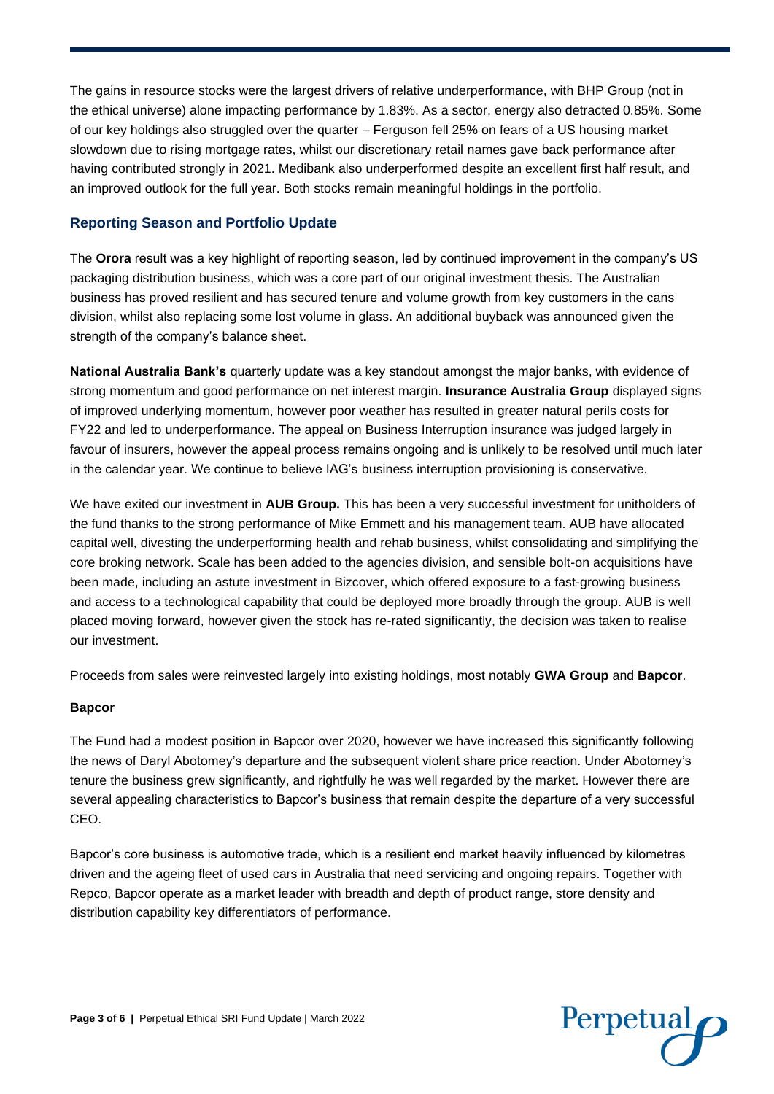The gains in resource stocks were the largest drivers of relative underperformance, with BHP Group (not in the ethical universe) alone impacting performance by 1.83%. As a sector, energy also detracted 0.85%. Some of our key holdings also struggled over the quarter – Ferguson fell 25% on fears of a US housing market slowdown due to rising mortgage rates, whilst our discretionary retail names gave back performance after having contributed strongly in 2021. Medibank also underperformed despite an excellent first half result, and an improved outlook for the full year. Both stocks remain meaningful holdings in the portfolio.

## **Reporting Season and Portfolio Update**

The **Orora** result was a key highlight of reporting season, led by continued improvement in the company's US packaging distribution business, which was a core part of our original investment thesis. The Australian business has proved resilient and has secured tenure and volume growth from key customers in the cans division, whilst also replacing some lost volume in glass. An additional buyback was announced given the strength of the company's balance sheet.

**National Australia Bank's** quarterly update was a key standout amongst the major banks, with evidence of strong momentum and good performance on net interest margin. **Insurance Australia Group** displayed signs of improved underlying momentum, however poor weather has resulted in greater natural perils costs for FY22 and led to underperformance. The appeal on Business Interruption insurance was judged largely in favour of insurers, however the appeal process remains ongoing and is unlikely to be resolved until much later in the calendar year. We continue to believe IAG's business interruption provisioning is conservative.

We have exited our investment in **AUB Group.** This has been a very successful investment for unitholders of the fund thanks to the strong performance of Mike Emmett and his management team. AUB have allocated capital well, divesting the underperforming health and rehab business, whilst consolidating and simplifying the core broking network. Scale has been added to the agencies division, and sensible bolt-on acquisitions have been made, including an astute investment in Bizcover, which offered exposure to a fast-growing business and access to a technological capability that could be deployed more broadly through the group. AUB is well placed moving forward, however given the stock has re-rated significantly, the decision was taken to realise our investment.

Proceeds from sales were reinvested largely into existing holdings, most notably **GWA Group** and **Bapcor**.

#### **Bapcor**

The Fund had a modest position in Bapcor over 2020, however we have increased this significantly following the news of Daryl Abotomey's departure and the subsequent violent share price reaction. Under Abotomey's tenure the business grew significantly, and rightfully he was well regarded by the market. However there are several appealing characteristics to Bapcor's business that remain despite the departure of a very successful CEO.

Bapcor's core business is automotive trade, which is a resilient end market heavily influenced by kilometres driven and the ageing fleet of used cars in Australia that need servicing and ongoing repairs. Together with Repco, Bapcor operate as a market leader with breadth and depth of product range, store density and distribution capability key differentiators of performance.

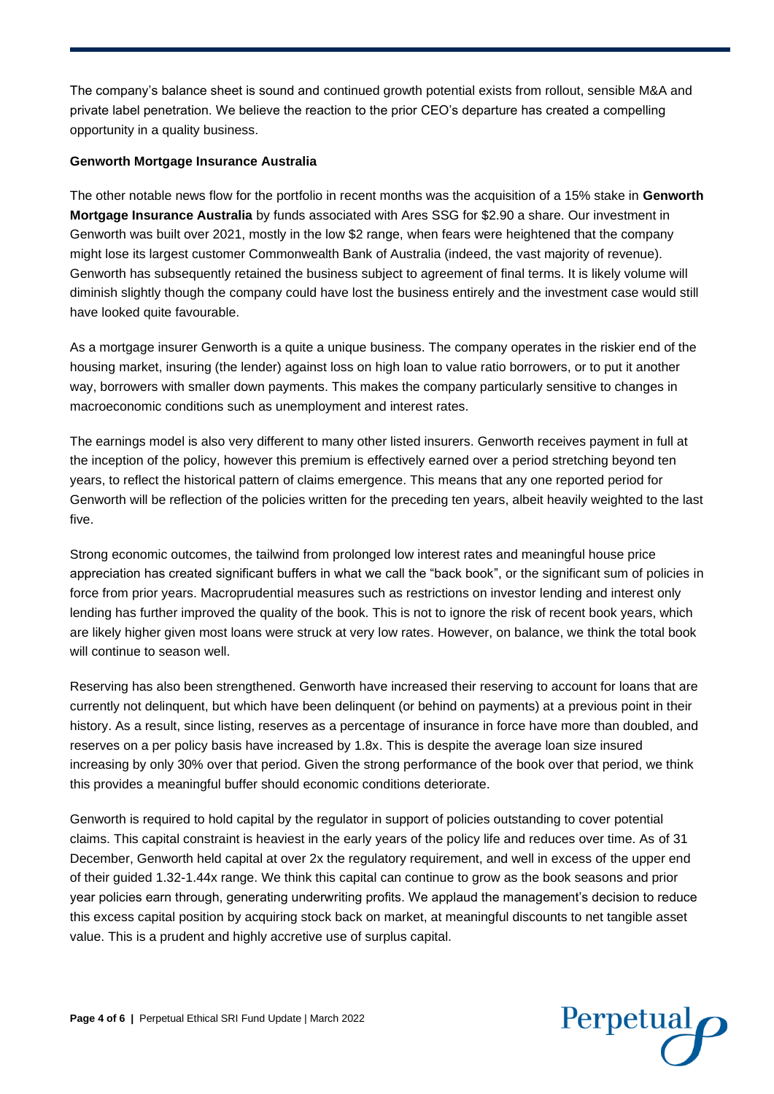The company's balance sheet is sound and continued growth potential exists from rollout, sensible M&A and private label penetration. We believe the reaction to the prior CEO's departure has created a compelling opportunity in a quality business.

#### **Genworth Mortgage Insurance Australia**

The other notable news flow for the portfolio in recent months was the acquisition of a 15% stake in **Genworth Mortgage Insurance Australia** by funds associated with Ares SSG for \$2.90 a share. Our investment in Genworth was built over 2021, mostly in the low \$2 range, when fears were heightened that the company might lose its largest customer Commonwealth Bank of Australia (indeed, the vast majority of revenue). Genworth has subsequently retained the business subject to agreement of final terms. It is likely volume will diminish slightly though the company could have lost the business entirely and the investment case would still have looked quite favourable.

As a mortgage insurer Genworth is a quite a unique business. The company operates in the riskier end of the housing market, insuring (the lender) against loss on high loan to value ratio borrowers, or to put it another way, borrowers with smaller down payments. This makes the company particularly sensitive to changes in macroeconomic conditions such as unemployment and interest rates.

The earnings model is also very different to many other listed insurers. Genworth receives payment in full at the inception of the policy, however this premium is effectively earned over a period stretching beyond ten years, to reflect the historical pattern of claims emergence. This means that any one reported period for Genworth will be reflection of the policies written for the preceding ten years, albeit heavily weighted to the last five.

Strong economic outcomes, the tailwind from prolonged low interest rates and meaningful house price appreciation has created significant buffers in what we call the "back book", or the significant sum of policies in force from prior years. Macroprudential measures such as restrictions on investor lending and interest only lending has further improved the quality of the book. This is not to ignore the risk of recent book years, which are likely higher given most loans were struck at very low rates. However, on balance, we think the total book will continue to season well.

Reserving has also been strengthened. Genworth have increased their reserving to account for loans that are currently not delinquent, but which have been delinquent (or behind on payments) at a previous point in their history. As a result, since listing, reserves as a percentage of insurance in force have more than doubled, and reserves on a per policy basis have increased by 1.8x. This is despite the average loan size insured increasing by only 30% over that period. Given the strong performance of the book over that period, we think this provides a meaningful buffer should economic conditions deteriorate.

Genworth is required to hold capital by the regulator in support of policies outstanding to cover potential claims. This capital constraint is heaviest in the early years of the policy life and reduces over time. As of 31 December, Genworth held capital at over 2x the regulatory requirement, and well in excess of the upper end of their guided 1.32-1.44x range. We think this capital can continue to grow as the book seasons and prior year policies earn through, generating underwriting profits. We applaud the management's decision to reduce this excess capital position by acquiring stock back on market, at meaningful discounts to net tangible asset value. This is a prudent and highly accretive use of surplus capital.

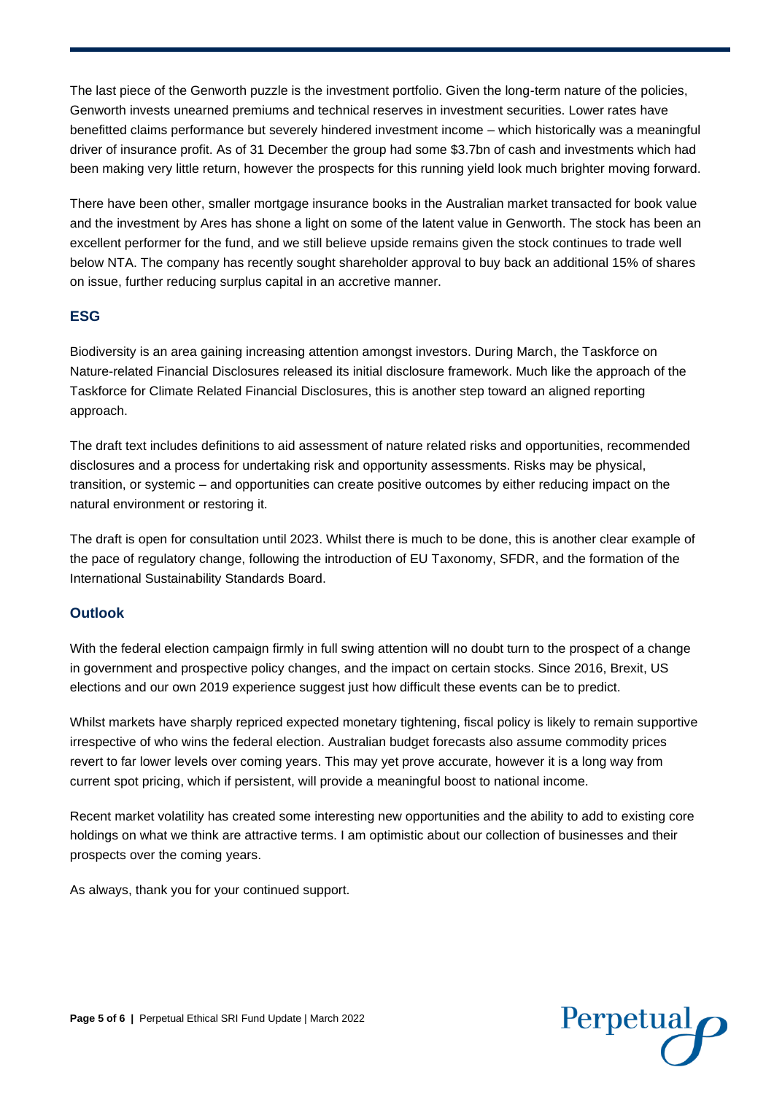The last piece of the Genworth puzzle is the investment portfolio. Given the long-term nature of the policies, Genworth invests unearned premiums and technical reserves in investment securities. Lower rates have benefitted claims performance but severely hindered investment income – which historically was a meaningful driver of insurance profit. As of 31 December the group had some \$3.7bn of cash and investments which had been making very little return, however the prospects for this running yield look much brighter moving forward.

There have been other, smaller mortgage insurance books in the Australian market transacted for book value and the investment by Ares has shone a light on some of the latent value in Genworth. The stock has been an excellent performer for the fund, and we still believe upside remains given the stock continues to trade well below NTA. The company has recently sought shareholder approval to buy back an additional 15% of shares on issue, further reducing surplus capital in an accretive manner.

## **ESG**

Biodiversity is an area gaining increasing attention amongst investors. During March, the Taskforce on Nature-related Financial Disclosures released its initial disclosure framework. Much like the approach of the Taskforce for Climate Related Financial Disclosures, this is another step toward an aligned reporting approach.

The draft text includes definitions to aid assessment of nature related risks and opportunities, recommended disclosures and a process for undertaking risk and opportunity assessments. Risks may be physical, transition, or systemic – and opportunities can create positive outcomes by either reducing impact on the natural environment or restoring it.

The draft is open for consultation until 2023. Whilst there is much to be done, this is another clear example of the pace of regulatory change, following the introduction of EU Taxonomy, SFDR, and the formation of the International Sustainability Standards Board.

## **Outlook**

With the federal election campaign firmly in full swing attention will no doubt turn to the prospect of a change in government and prospective policy changes, and the impact on certain stocks. Since 2016, Brexit, US elections and our own 2019 experience suggest just how difficult these events can be to predict.

Whilst markets have sharply repriced expected monetary tightening, fiscal policy is likely to remain supportive irrespective of who wins the federal election. Australian budget forecasts also assume commodity prices revert to far lower levels over coming years. This may yet prove accurate, however it is a long way from current spot pricing, which if persistent, will provide a meaningful boost to national income.

Recent market volatility has created some interesting new opportunities and the ability to add to existing core holdings on what we think are attractive terms. I am optimistic about our collection of businesses and their prospects over the coming years.

As always, thank you for your continued support.